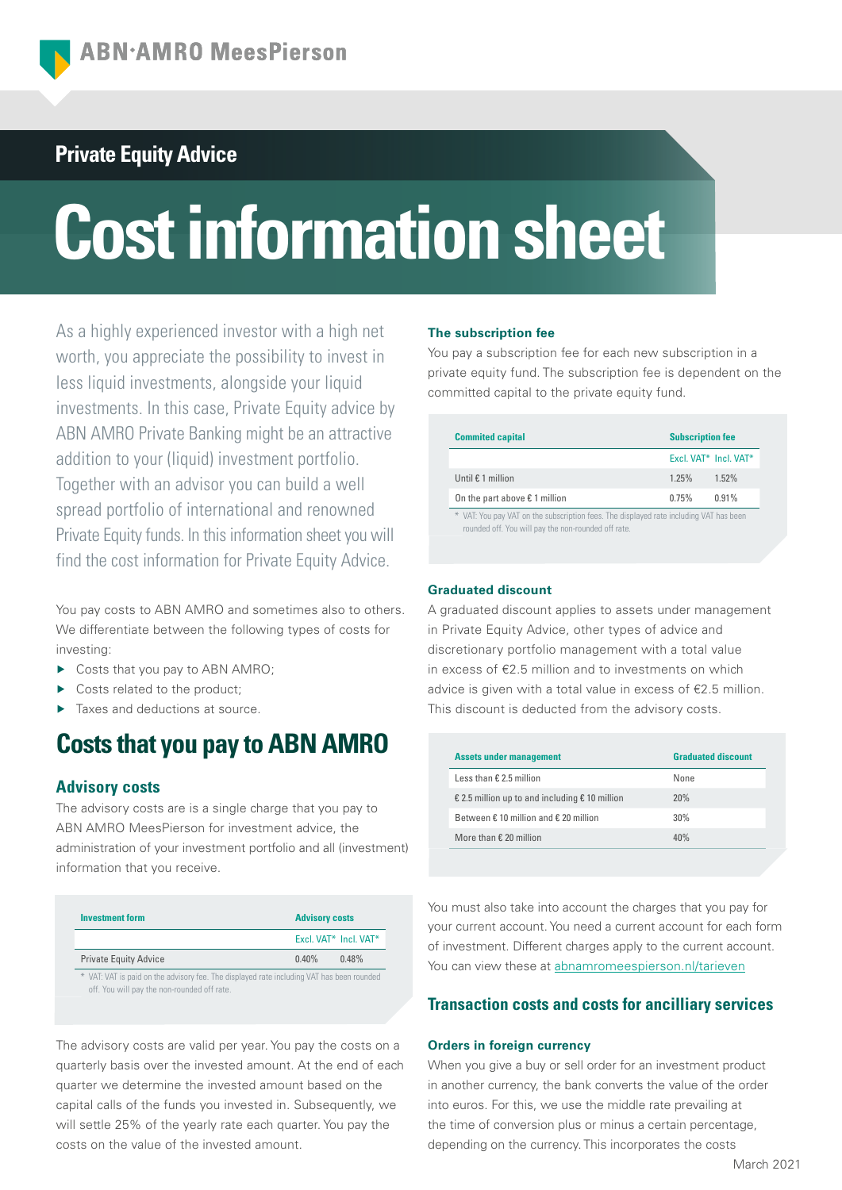# **Private Equity Advice**

# **Cost information sheet**

As a highly experienced investor with a high net worth, you appreciate the possibility to invest in less liquid investments, alongside your liquid investments. In this case, Private Equity advice by ABN AMRO Private Banking might be an attractive addition to your (liquid) investment portfolio. Together with an advisor you can build a well spread portfolio of international and renowned Private Equity funds. In this information sheet you will find the cost information for Private Equity Advice.

You pay costs to ABN AMRO and sometimes also to others. We differentiate between the following types of costs for investing:

- ▶ Costs that you pay to ABN AMRO;
- ▶ Costs related to the product;
- ▶ Taxes and deductions at source.

# **Costs that you pay to ABN AMRO**

# **Advisory costs**

The advisory costs are is a single charge that you pay to ABN AMRO MeesPierson for investment advice, the administration of your investment portfolio and all (investment) information that you receive.

| Investment form                                                                           | <b>Advisory costs</b> |                       |
|-------------------------------------------------------------------------------------------|-----------------------|-----------------------|
|                                                                                           |                       | Excl. VAT* Incl. VAT* |
| <b>Private Equity Advice</b>                                                              | $0.40\%$              | $0.48\%$              |
| * VAT: VAT is paid on the advisory fee. The displayed rate including VAT has been rounded |                       |                       |

off. You will pay the non-rounded off rate.

The advisory costs are valid per year. You pay the costs on a quarterly basis over the invested amount. At the end of each quarter we determine the invested amount based on the capital calls of the funds you invested in. Subsequently, we will settle 25% of the yearly rate each quarter. You pay the costs on the value of the invested amount.

### **The subscription fee**

You pay a subscription fee for each new subscription in a private equity fund. The subscription fee is dependent on the committed capital to the private equity fund.

| <b>Commited capital</b>                                                                                                                       | <b>Subscription fee</b> |                       |
|-----------------------------------------------------------------------------------------------------------------------------------------------|-------------------------|-----------------------|
|                                                                                                                                               |                         | Excl. VAT* Incl. VAT* |
| Until $\epsilon$ 1 million                                                                                                                    | 1.25%                   | 1.52%                 |
| On the part above $\epsilon$ 1 million                                                                                                        | 0.75%                   | 0.91%                 |
| * VAT: You pay VAT on the subscription fees. The displayed rate including VAT has been<br>rounded off. You will pay the non-rounded off rate. |                         |                       |

## **Graduated discount**

A graduated discount applies to assets under management in Private Equity Advice, other types of advice and discretionary portfolio management with a total value in excess of €2.5 million and to investments on which advice is given with a total value in excess of €2.5 million. This discount is deducted from the advisory costs.

| <b>Assets under management</b>                          | <b>Graduated discount</b> |
|---------------------------------------------------------|---------------------------|
| Less than $\epsilon$ 2.5 million                        | None                      |
| € 2.5 million up to and including $€ 10$ million        | 20%                       |
| Between $\epsilon$ 10 million and $\epsilon$ 20 million | 30%                       |
| More than $\epsilon$ 20 million                         | 40%                       |

You must also take into account the charges that you pay for your current account. You need a current account for each form of investment. Different charges apply to the current account. You can view these at [abnamromeespierson.nl/tarieven](https://www.abnamro.nl/nl/privatebanking/betalen/tarieven.html)

# **Transaction costs and costs for ancilliary services**

### **Orders in foreign currency**

When you give a buy or sell order for an investment product in another currency, the bank converts the value of the order into euros. For this, we use the middle rate prevailing at the time of conversion plus or minus a certain percentage, depending on the currency. This incorporates the costs